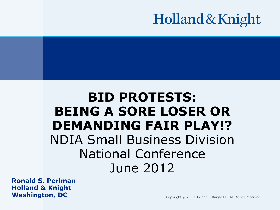# Holland & Knight

## **BID PROTESTS: BEING A SORE LOSER OR DEMANDING FAIR PLAY!?** NDIA Small Business Division National Conference June 2012

**Ronald S. Perlman Holland & Knight Washington, DC**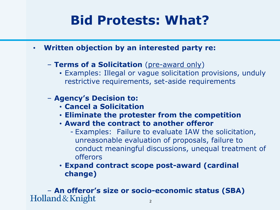# **Bid Protests: What?**

- **Written objection by an interested party re:**
	- **Terms of a Solicitation** (pre-award only)
		- Examples: Illegal or vague solicitation provisions, unduly restrictive requirements, set-aside requirements
	- **Agency's Decision to:** 
		- **Cancel a Solicitation**
		- **Eliminate the protester from the competition**
		- **Award the contract to another offeror**
			- Examples: Failure to evaluate IAW the solicitation, unreasonable evaluation of proposals, failure to conduct meaningful discussions, unequal treatment of offerors
		- **Expand contract scope post-award (cardinal change)**

2 – **An offeror's size or socio-economic status (SBA)**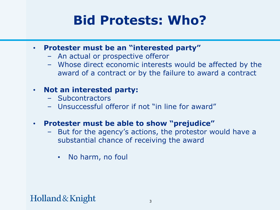# **Bid Protests: Who?**

- **Protester must be an "interested party"**
	- An actual or prospective offeror
	- Whose direct economic interests would be affected by the award of a contract or by the failure to award a contract

## • **Not an interested party:**

- Subcontractors
- Unsuccessful offeror if not "in line for award"

## • **Protester must be able to show "prejudice"**

- But for the agency's actions, the protestor would have a substantial chance of receiving the award
	- No harm, no foul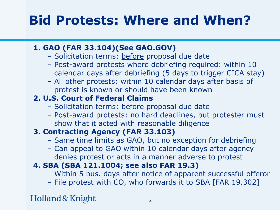# **Bid Protests: Where and When?**

## **1. GAO (FAR 33.104)(See GAO.GOV)**

- Solicitation terms: before proposal due date
- Post-award protests where debriefing required: within 10 calendar days after debriefing (5 days to trigger CICA stay)
- All other protests: within 10 calendar days after basis of protest is known or should have been known

## **2. U.S. Court of Federal Claims**

- Solicitation terms: before proposal due date
- Post-award protests: no hard deadlines, but protester must show that it acted with reasonable diligence

## **3. Contracting Agency (FAR 33.103)**

- Same time limits as GAO, but no exception for debriefing
- Can appeal to GAO within 10 calendar days after agency denies protest or acts in a manner adverse to protest

## **4. SBA (SBA 121.1004; see also FAR 19.3)**

- Within 5 bus. days after notice of apparent successful offeror
- File protest with CO, who forwards it to SBA [FAR 19.302]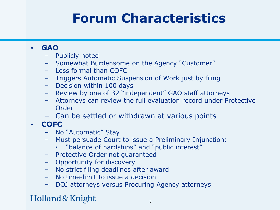# **Forum Characteristics**

### • **GAO**

- Publicly noted
- Somewhat Burdensome on the Agency "Customer"
- Less formal than COFC
- Triggers Automatic Suspension of Work just by filing
- Decision within 100 days
- Review by one of 32 "independent" GAO staff attorneys
- Attorneys can review the full evaluation record under Protective Order
- Can be settled or withdrawn at various points

## • **COFC**

- No "Automatic" Stay
- Must persuade Court to issue a Preliminary Injunction:
	- "balance of hardships" and "public interest"
- Protective Order not guaranteed
- Opportunity for discovery
- No strict filing deadlines after award
- No time-limit to issue a decision
- DOJ attorneys versus Procuring Agency attorneys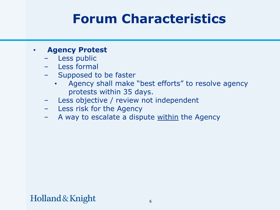## **Forum Characteristics**

### • **Agency Protest**

- Less public
- Less formal
- Supposed to be faster
	- Agency shall make "best efforts" to resolve agency protests within 35 days.
- Less objective / review not independent
- Less risk for the Agency
- A way to escalate a dispute within the Agency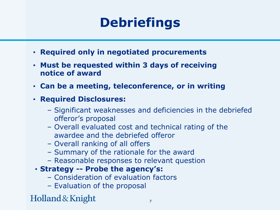# **Debriefings**

- **Required only in negotiated procurements**
- **Must be requested within 3 days of receiving notice of award**
- **Can be a meeting, teleconference, or in writing**
- **Required Disclosures:** 
	- Significant weaknesses and deficiencies in the debriefed offeror's proposal
	- Overall evaluated cost and technical rating of the awardee and the debriefed offeror
	- Overall ranking of all offers
	- Summary of the rationale for the award
	- Reasonable responses to relevant question
- **Strategy -- Probe the agency's:** 
	- Consideration of evaluation factors
	- Evaluation of the proposal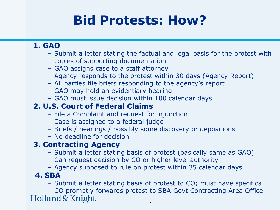# **Bid Protests: How?**

### **1. GAO**

- Submit a letter stating the factual and legal basis for the protest with copies of supporting documentation
- GAO assigns case to a staff attorney
- Agency responds to the protest within 30 days (Agency Report)
- All parties file briefs responding to the agency's report
- GAO may hold an evidentiary hearing
- GAO must issue decision within 100 calendar days

## **2. U.S. Court of Federal Claims**

- File a Complaint and request for injunction
- Case is assigned to a federal judge
- Briefs / hearings / possibly some discovery or depositions
- No deadline for decision

## **3. Contracting Agency**

- Submit a letter stating basis of protest (basically same as GAO)
- Can request decision by CO or higher level authority
- Agency supposed to rule on protest within 35 calendar days

### **4. SBA**

– Submit a letter stating basis of protest to CO; must have specifics

– CO promptly forwards protest to SBA Govt Contracting Area OfficeHolland & Knight 8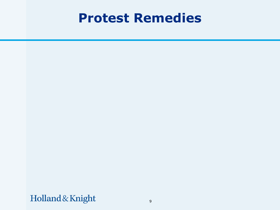## **Protest Remedies**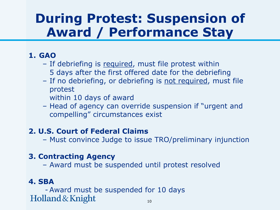## **During Protest: Suspension of Award / Performance Stay**

## **1. GAO**

- If debriefing is required, must file protest within 5 days after the first offered date for the debriefing
- If no debriefing, or debriefing is not required, must file protest
	- within 10 days of award
- Head of agency can override suspension if "urgent and compelling" circumstances exist

## **2. U.S. Court of Federal Claims**

– Must convince Judge to issue TRO/preliminary injunction

## **3. Contracting Agency**

– Award must be suspended until protest resolved

## **4. SBA**

- Award must be suspended for 10 days Holland & Knight 10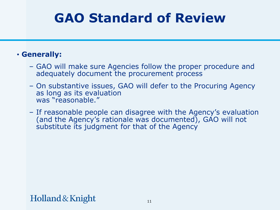# **GAO Standard of Review**

### • **Generally:**

- GAO will make sure Agencies follow the proper procedure and adequately document the procurement process
- On substantive issues, GAO will defer to the Procuring Agency as long as its evaluation was "reasonable."
- If reasonable people can disagree with the Agency's evaluation (and the Agency's rationale was documented), GAO will not substitute its judgment for that of the Agency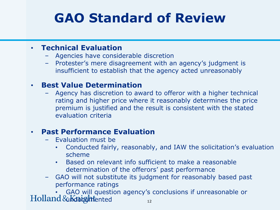# **GAO Standard of Review**

### • **Technical Evaluation**

- Agencies have considerable discretion
- Protester's mere disagreement with an agency's judgment is insufficient to establish that the agency acted unreasonably

#### • **Best Value Determination**

– Agency has discretion to award to offeror with a higher technical rating and higher price where it reasonably determines the price premium is justified and the result is consistent with the stated evaluation criteria

### • **Past Performance Evaluation**

- Evaluation must be
	- Conducted fairly, reasonably, and IAW the solicitation's evaluation scheme
	- Based on relevant info sufficient to make a reasonable determination of the offerors' past performance
- GAO will not substitute its judgment for reasonably based past performance ratings

• GAO will question agency's conclusions if unreasonable or  $Holland \& Kab$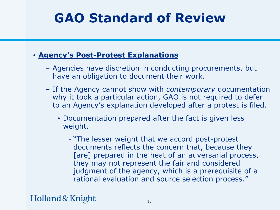# **GAO Standard of Review**

## • **Agency's Post-Protest Explanations**

- Agencies have discretion in conducting procurements, but have an obligation to document their work.
- If the Agency cannot show with *contemporary* documentation why it took a particular action, GAO is not required to defer to an Agency's explanation developed after a protest is filed.
	- Documentation prepared after the fact is given less weight.
		- "The lesser weight that we accord post-protest documents reflects the concern that, because they [are] prepared in the heat of an adversarial process, they may not represent the fair and considered judgment of the agency, which is a prerequisite of a rational evaluation and source selection process."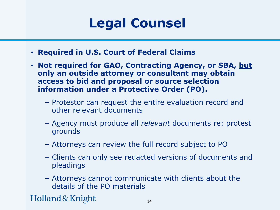# **Legal Counsel**

- **Required in U.S. Court of Federal Claims**
- **Not required for GAO, Contracting Agency, or SBA, but only an outside attorney or consultant may obtain access to bid and proposal or source selection information under a Protective Order (PO).**
	- Protestor can request the entire evaluation record and other relevant documents
	- Agency must produce all *relevant* documents re: protest grounds
	- Attorneys can review the full record subject to PO
	- Clients can only see redacted versions of documents and pleadings
	- Attorneys cannot communicate with clients about the details of the PO materials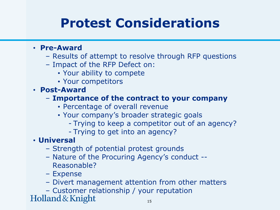# **Protest Considerations**

#### • **Pre-Award**

- Results of attempt to resolve through RFP questions
- Impact of the RFP Defect on:
	- Your ability to compete
	- Your competitors

• **Post-Award**

- **Importance of the contract to your company**
	- Percentage of overall revenue
	- Your company's broader strategic goals
		- Trying to keep a competitor out of an agency?
		- Trying to get into an agency?

## • **Universal**

- Strength of potential protest grounds
- Nature of the Procuring Agency's conduct -- Reasonable?
- Expense
- Divert management attention from other matters
- Customer relationship / your reputation<br>Holland & Knight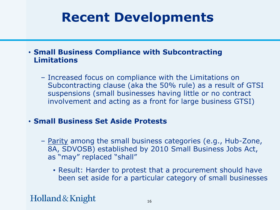## **Recent Developments**

### • **Small Business Compliance with Subcontracting Limitations**

– Increased focus on compliance with the Limitations on Subcontracting clause (aka the 50% rule) as a result of GTSI suspensions (small businesses having little or no contract involvement and acting as a front for large business GTSI)

### • **Small Business Set Aside Protests**

- Parity among the small business categories (e.g., Hub-Zone, 8A, SDVOSB) established by 2010 Small Business Jobs Act, as "may" replaced "shall"
	- Result: Harder to protest that a procurement should have been set aside for a particular category of small businesses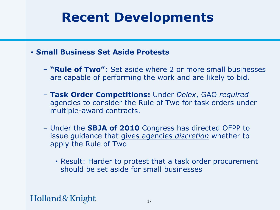## **Recent Developments**

- **Small Business Set Aside Protests**
	- **"Rule of Two"**: Set aside where 2 or more small businesses are capable of performing the work and are likely to bid.
	- **Task Order Competitions:** Under *Delex*, GAO *required* agencies to consider the Rule of Two for task orders under multiple-award contracts.
	- Under the **SBJA of 2010** Congress has directed OFPP to issue guidance that gives agencies *discretion* whether to apply the Rule of Two
		- Result: Harder to protest that a task order procurement should be set aside for small businesses